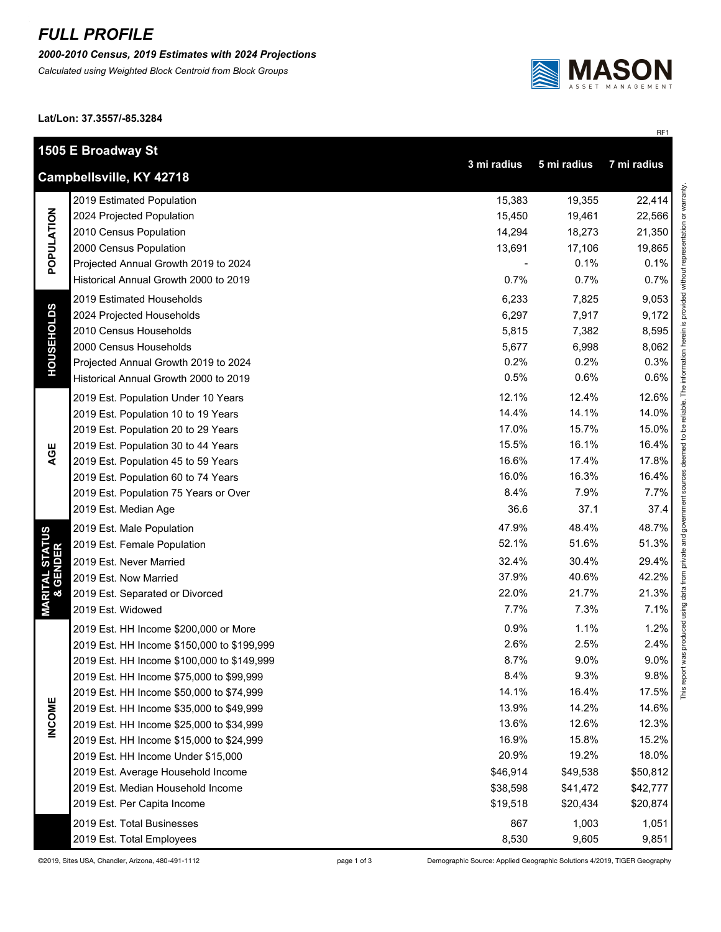## *FULL PROFILE*

*2000-2010 Census, 2019 Estimates with 2024 Projections*

*Calculated using Weighted Block Centroid from Block Groups*



RF1

This report was produced using data from private and government sources deemed to be reliable. The information herein is provided without representation or warranty.

**Lat/Lon: 37.3557/-85.3284**

|                                        | 1505 E Broadway St<br>3 mi radius<br>5 mi radius<br>7 mi radius |          |          |               |  |
|----------------------------------------|-----------------------------------------------------------------|----------|----------|---------------|--|
|                                        | Campbellsville, KY 42718                                        |          |          |               |  |
| POPULATION                             | 2019 Estimated Population                                       | 15,383   | 19,355   | 22,414        |  |
|                                        | 2024 Projected Population                                       | 15,450   | 19,461   | 22,566        |  |
|                                        | 2010 Census Population                                          | 14,294   | 18,273   | 21,350        |  |
|                                        | 2000 Census Population                                          | 13,691   | 17,106   | 19,865        |  |
|                                        | Projected Annual Growth 2019 to 2024                            |          | 0.1%     | 0.1%          |  |
|                                        | Historical Annual Growth 2000 to 2019                           | 0.7%     | 0.7%     | 0.7%          |  |
| <b>HOUSEHOLDS</b>                      | 2019 Estimated Households                                       | 6,233    | 7,825    | 9,053         |  |
|                                        | 2024 Projected Households                                       | 6,297    | 7,917    | 9,172         |  |
|                                        | 2010 Census Households                                          | 5,815    | 7,382    | 8,595         |  |
|                                        | 2000 Census Households                                          | 5,677    | 6,998    | 8,062         |  |
|                                        | Projected Annual Growth 2019 to 2024                            | 0.2%     | 0.2%     | 0.3%          |  |
|                                        | Historical Annual Growth 2000 to 2019                           | 0.5%     | 0.6%     | 0.6%          |  |
|                                        | 2019 Est. Population Under 10 Years                             | 12.1%    | 12.4%    | 12.6%         |  |
|                                        | 2019 Est. Population 10 to 19 Years                             | 14.4%    | 14.1%    | 14.0%         |  |
|                                        | 2019 Est. Population 20 to 29 Years                             | 17.0%    | 15.7%    | 15.0%         |  |
|                                        | 2019 Est. Population 30 to 44 Years                             | 15.5%    | 16.1%    | 16.4%         |  |
| AGE                                    | 2019 Est. Population 45 to 59 Years                             | 16.6%    | 17.4%    | 17.8%         |  |
|                                        | 2019 Est. Population 60 to 74 Years                             | 16.0%    | 16.3%    | 16.4%         |  |
|                                        | 2019 Est. Population 75 Years or Over                           | 8.4%     | 7.9%     | 7.7%          |  |
|                                        | 2019 Est. Median Age                                            | 36.6     | 37.1     | 37.4          |  |
|                                        | 2019 Est. Male Population                                       | 47.9%    | 48.4%    | 48.7%         |  |
| <b>MARITAL STATUS<br/>&amp; GENDER</b> | 2019 Est. Female Population                                     | 52.1%    | 51.6%    | 51.3%         |  |
|                                        | 2019 Est. Never Married                                         | 32.4%    | 30.4%    | 29.4%         |  |
|                                        | 2019 Est. Now Married                                           | 37.9%    | 40.6%    | 42.2%         |  |
|                                        | 2019 Est. Separated or Divorced                                 | 22.0%    | 21.7%    | 21.3%         |  |
|                                        | 2019 Est. Widowed                                               | 7.7%     | 7.3%     | 7.1%          |  |
|                                        | 2019 Est. HH Income \$200,000 or More                           | 0.9%     | 1.1%     | 1.2%          |  |
|                                        | 2019 Est. HH Income \$150,000 to \$199,999                      | 2.6%     | 2.5%     | 2.4%          |  |
|                                        | 2019 Est. HH Income \$100,000 to \$149,999                      | 8.7%     | 9.0%     | 9.0%          |  |
|                                        | 2019 Est. HH Income \$75,000 to \$99,999                        | 8.4%     | 9.3%     | 9.8%          |  |
|                                        | 2019 Est. HH Income \$50,000 to \$74,999                        | 14.1%    | 16.4%    | This<br>17.5% |  |
| <b>INCOME</b>                          | 2019 Est. HH Income \$35,000 to \$49,999                        | 13.9%    | 14.2%    | 14.6%         |  |
|                                        | 2019 Est. HH Income \$25,000 to \$34,999                        | 13.6%    | 12.6%    | 12.3%         |  |
|                                        | 2019 Est. HH Income \$15,000 to \$24,999                        | 16.9%    | 15.8%    | 15.2%         |  |
|                                        | 2019 Est. HH Income Under \$15,000                              | 20.9%    | 19.2%    | 18.0%         |  |
|                                        | 2019 Est. Average Household Income                              | \$46,914 | \$49,538 | \$50,812      |  |
|                                        | 2019 Est. Median Household Income                               | \$38,598 | \$41,472 | \$42,777      |  |
|                                        | 2019 Est. Per Capita Income                                     | \$19,518 | \$20,434 | \$20,874      |  |
|                                        | 2019 Est. Total Businesses                                      | 867      | 1,003    | 1,051         |  |
|                                        | 2019 Est. Total Employees                                       | 8,530    | 9,605    | 9,851         |  |

©2019, Sites USA, Chandler, Arizona, 480-491-1112 page 1 of 3 Demographic Source: Applied Geographic Solutions 4/2019, TIGER Geography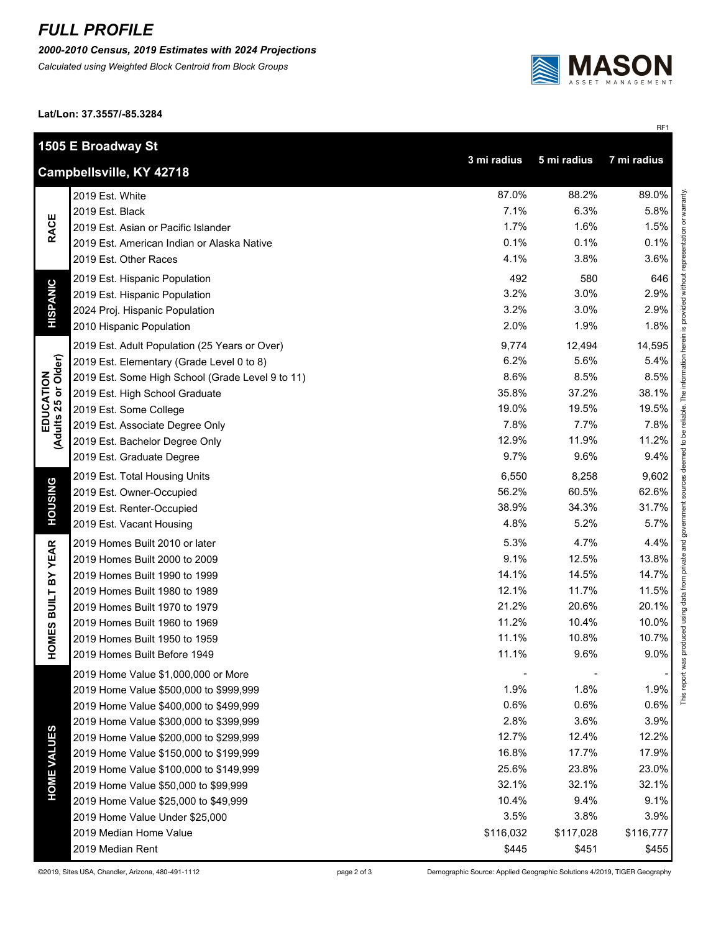## *FULL PROFILE*

*2000-2010 Census, 2019 Estimates with 2024 Projections*

*Calculated using Weighted Block Centroid from Block Groups*



RF1

**Lat/Lon: 37.3557/-85.3284**

|                                                                       | 1505 E Broadway St                               |           |           |           |  |  |
|-----------------------------------------------------------------------|--------------------------------------------------|-----------|-----------|-----------|--|--|
| 3 mi radius<br>5 mi radius<br>7 mi radius<br>Campbellsville, KY 42718 |                                                  |           |           |           |  |  |
|                                                                       | 2019 Est. White                                  | 87.0%     | 88.2%     | 89.0%     |  |  |
| <b>RACE</b>                                                           | 2019 Est. Black                                  | 7.1%      | 6.3%      | 5.8%      |  |  |
|                                                                       | 2019 Est. Asian or Pacific Islander              | 1.7%      | 1.6%      | 1.5%      |  |  |
|                                                                       | 2019 Est. American Indian or Alaska Native       | 0.1%      | 0.1%      | 0.1%      |  |  |
|                                                                       | 2019 Est. Other Races                            | 4.1%      | 3.8%      | 3.6%      |  |  |
| <b>HISPANIC</b>                                                       | 2019 Est. Hispanic Population                    | 492       | 580       | 646       |  |  |
|                                                                       | 2019 Est. Hispanic Population                    | 3.2%      | 3.0%      | 2.9%      |  |  |
|                                                                       | 2024 Proj. Hispanic Population                   | 3.2%      | 3.0%      | 2.9%      |  |  |
|                                                                       | 2010 Hispanic Population                         | 2.0%      | 1.9%      | 1.8%      |  |  |
|                                                                       | 2019 Est. Adult Population (25 Years or Over)    | 9,774     | 12,494    | 14,595    |  |  |
|                                                                       | 2019 Est. Elementary (Grade Level 0 to 8)        | 6.2%      | 5.6%      | 5.4%      |  |  |
| EDUCATION<br>(Adults 25 or Older)                                     | 2019 Est. Some High School (Grade Level 9 to 11) | 8.6%      | 8.5%      | 8.5%      |  |  |
|                                                                       | 2019 Est. High School Graduate                   | 35.8%     | 37.2%     | 38.1%     |  |  |
|                                                                       | 2019 Est. Some College                           | 19.0%     | 19.5%     | 19.5%     |  |  |
|                                                                       | 2019 Est. Associate Degree Only                  | 7.8%      | 7.7%      | 7.8%      |  |  |
|                                                                       | 2019 Est. Bachelor Degree Only                   | 12.9%     | 11.9%     | 11.2%     |  |  |
|                                                                       | 2019 Est. Graduate Degree                        | 9.7%      | 9.6%      | 9.4%      |  |  |
|                                                                       | 2019 Est. Total Housing Units                    | 6,550     | 8,258     | 9,602     |  |  |
|                                                                       | 2019 Est. Owner-Occupied                         | 56.2%     | 60.5%     | 62.6%     |  |  |
| <b>HOUSING</b>                                                        | 2019 Est. Renter-Occupied                        | 38.9%     | 34.3%     | 31.7%     |  |  |
|                                                                       | 2019 Est. Vacant Housing                         | 4.8%      | 5.2%      | 5.7%      |  |  |
|                                                                       | 2019 Homes Built 2010 or later                   | 5.3%      | 4.7%      | 4.4%      |  |  |
| <b>BUILT BY YEAR</b>                                                  | 2019 Homes Built 2000 to 2009                    | 9.1%      | 12.5%     | 13.8%     |  |  |
|                                                                       | 2019 Homes Built 1990 to 1999                    | 14.1%     | 14.5%     | 14.7%     |  |  |
|                                                                       | 2019 Homes Built 1980 to 1989                    | 12.1%     | 11.7%     | 11.5%     |  |  |
|                                                                       | 2019 Homes Built 1970 to 1979                    | 21.2%     | 20.6%     | 20.1%     |  |  |
|                                                                       | 2019 Homes Built 1960 to 1969                    | 11.2%     | 10.4%     | 10.0%     |  |  |
| HOMES                                                                 | 2019 Homes Built 1950 to 1959                    | 11.1%     | 10.8%     | 10.7%     |  |  |
|                                                                       | 2019 Homes Built Before 1949                     | 11.1%     | 9.6%      | 9.0%      |  |  |
|                                                                       | 2019 Home Value \$1,000,000 or More              |           |           |           |  |  |
|                                                                       | 2019 Home Value \$500,000 to \$999,999           | 1.9%      | 1.8%      | 1.9%      |  |  |
|                                                                       | 2019 Home Value \$400,000 to \$499,999           | 0.6%      | 0.6%      | 0.6%      |  |  |
| <b>HOME VALUES</b>                                                    | 2019 Home Value \$300,000 to \$399,999           | 2.8%      | 3.6%      | 3.9%      |  |  |
|                                                                       | 2019 Home Value \$200,000 to \$299,999           | 12.7%     | 12.4%     | 12.2%     |  |  |
|                                                                       | 2019 Home Value \$150,000 to \$199,999           | 16.8%     | 17.7%     | 17.9%     |  |  |
|                                                                       | 2019 Home Value \$100,000 to \$149,999           | 25.6%     | 23.8%     | 23.0%     |  |  |
|                                                                       | 2019 Home Value \$50,000 to \$99,999             | 32.1%     | 32.1%     | 32.1%     |  |  |
|                                                                       | 2019 Home Value \$25,000 to \$49,999             | 10.4%     | 9.4%      | 9.1%      |  |  |
|                                                                       | 2019 Home Value Under \$25,000                   | 3.5%      | 3.8%      | 3.9%      |  |  |
|                                                                       | 2019 Median Home Value                           | \$116,032 | \$117,028 | \$116,777 |  |  |
|                                                                       | 2019 Median Rent                                 | \$445     | \$451     | \$455     |  |  |